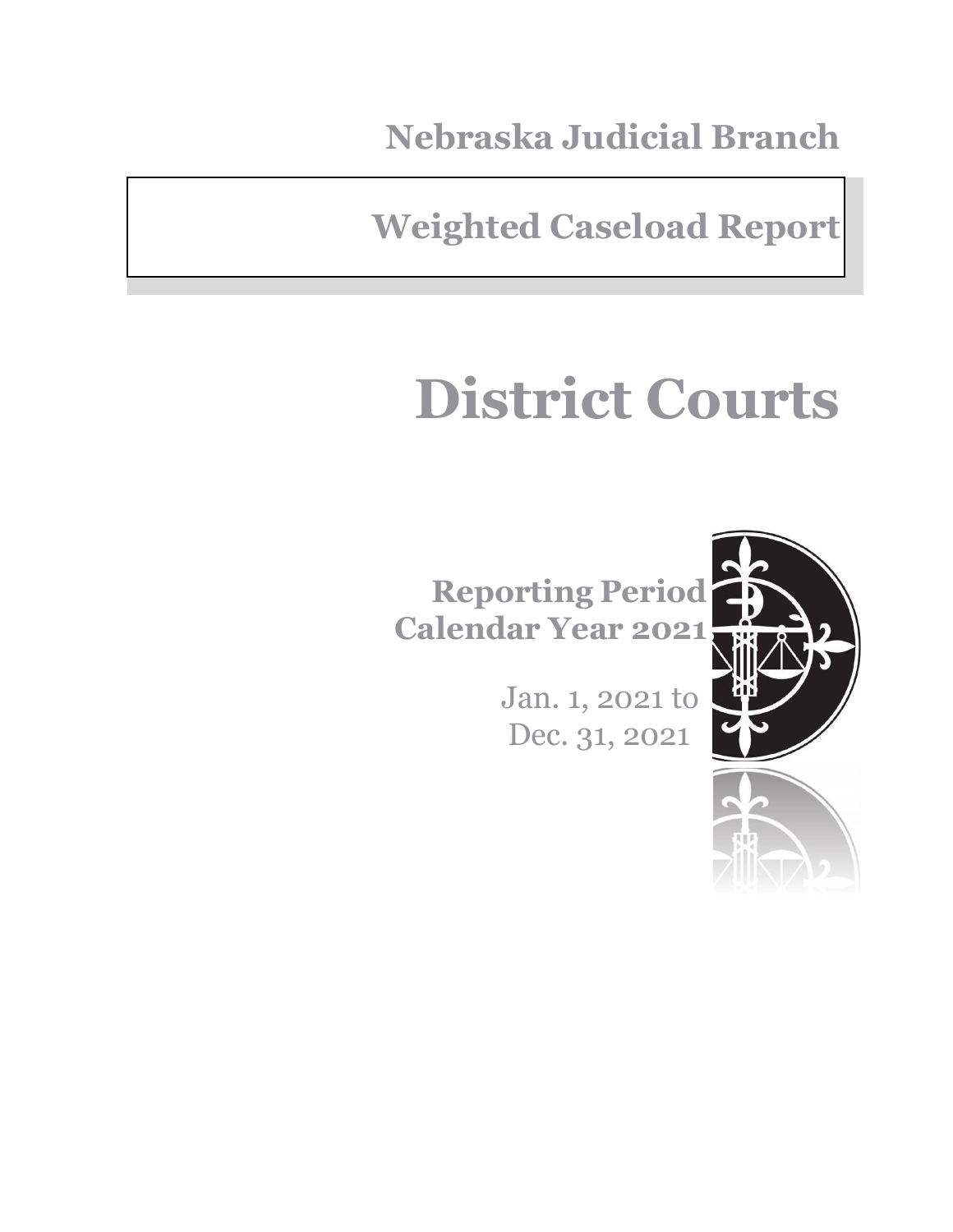**Nebraska Judicial Branch**

**Weighted Caseload Report**

# **District Courts**

**Reporting Period Calendar Year 2021**

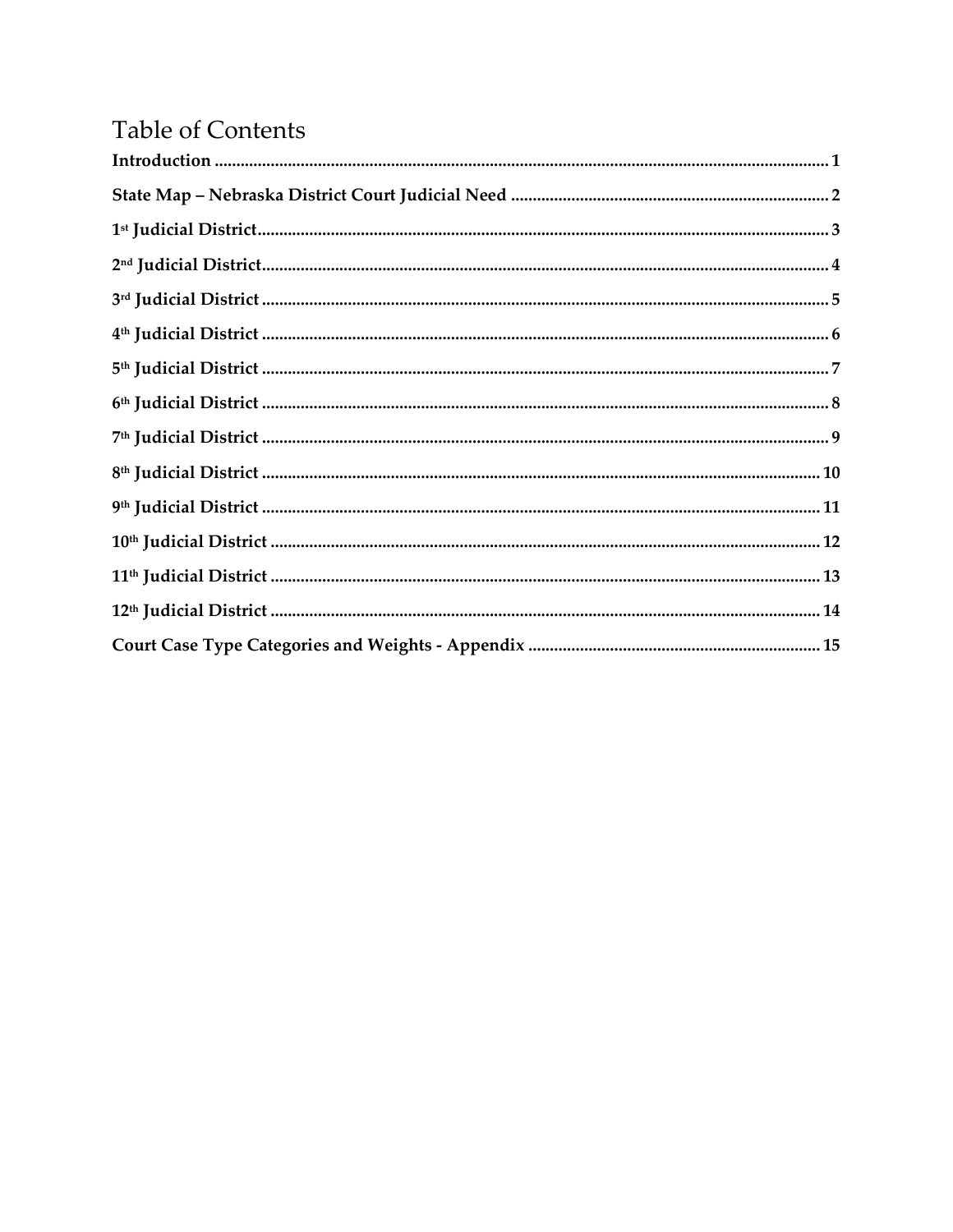### **Table of Contents**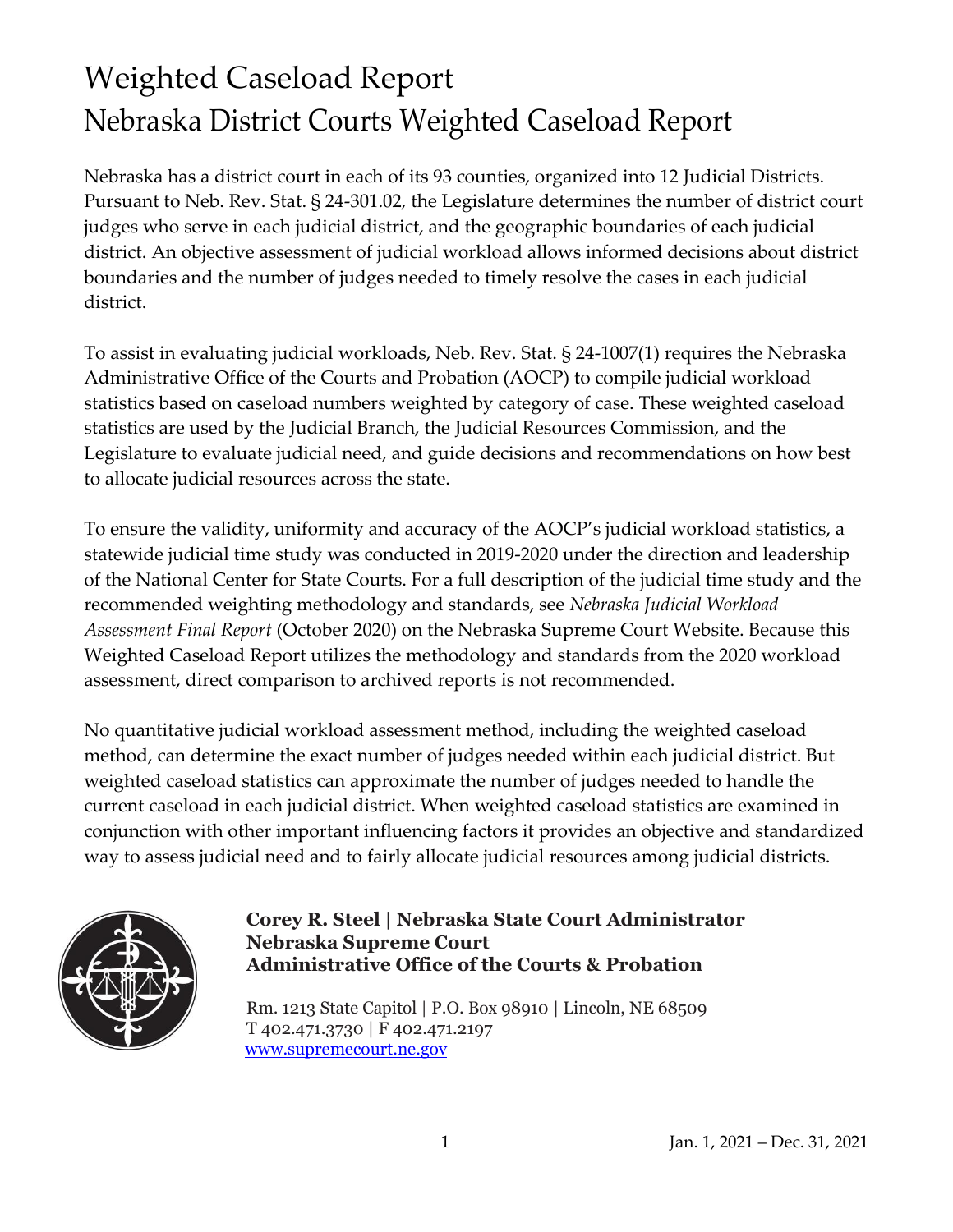### Weighted Caseload Report Nebraska District Courts Weighted Caseload Report

Nebraska has a district court in each of its 93 counties, organized into 12 Judicial Districts. Pursuant to Neb. Rev. Stat. § 24-301.02, the Legislature determines the number of district court judges who serve in each judicial district, and the geographic boundaries of each judicial district. An objective assessment of judicial workload allows informed decisions about district boundaries and the number of judges needed to timely resolve the cases in each judicial district.

To assist in evaluating judicial workloads, Neb. Rev. Stat. § 24-1007(1) requires the Nebraska Administrative Office of the Courts and Probation (AOCP) to compile judicial workload statistics based on caseload numbers weighted by category of case. These weighted caseload statistics are used by the Judicial Branch, the Judicial Resources Commission, and the Legislature to evaluate judicial need, and guide decisions and recommendations on how best to allocate judicial resources across the state.

To ensure the validity, uniformity and accuracy of the AOCP's judicial workload statistics, a statewide judicial time study was conducted in 2019-2020 under the direction and leadership of the National Center for State Courts. For a full description of the judicial time study and the recommended weighting methodology and standards, see *Nebraska Judicial Workload Assessment Final Report* (October 2020) on the Nebraska Supreme Court Website. Because this Weighted Caseload Report utilizes the methodology and standards from the 2020 workload assessment, direct comparison to archived reports is not recommended.

No quantitative judicial workload assessment method, including the weighted caseload method, can determine the exact number of judges needed within each judicial district. But weighted caseload statistics can approximate the number of judges needed to handle the current caseload in each judicial district. When weighted caseload statistics are examined in conjunction with other important influencing factors it provides an objective and standardized way to assess judicial need and to fairly allocate judicial resources among judicial districts.



### **Corey R. Steel | Nebraska State Court Administrator Nebraska Supreme Court Administrative Office of the Courts & Probation**

Rm. 1213 State Capitol | P.O. Box 98910 | Lincoln, NE 68509 T 402.471.3730 | F 402.471.2197 [www.supremecourt.ne.gov](http://www.supremecourt.ne.gov/)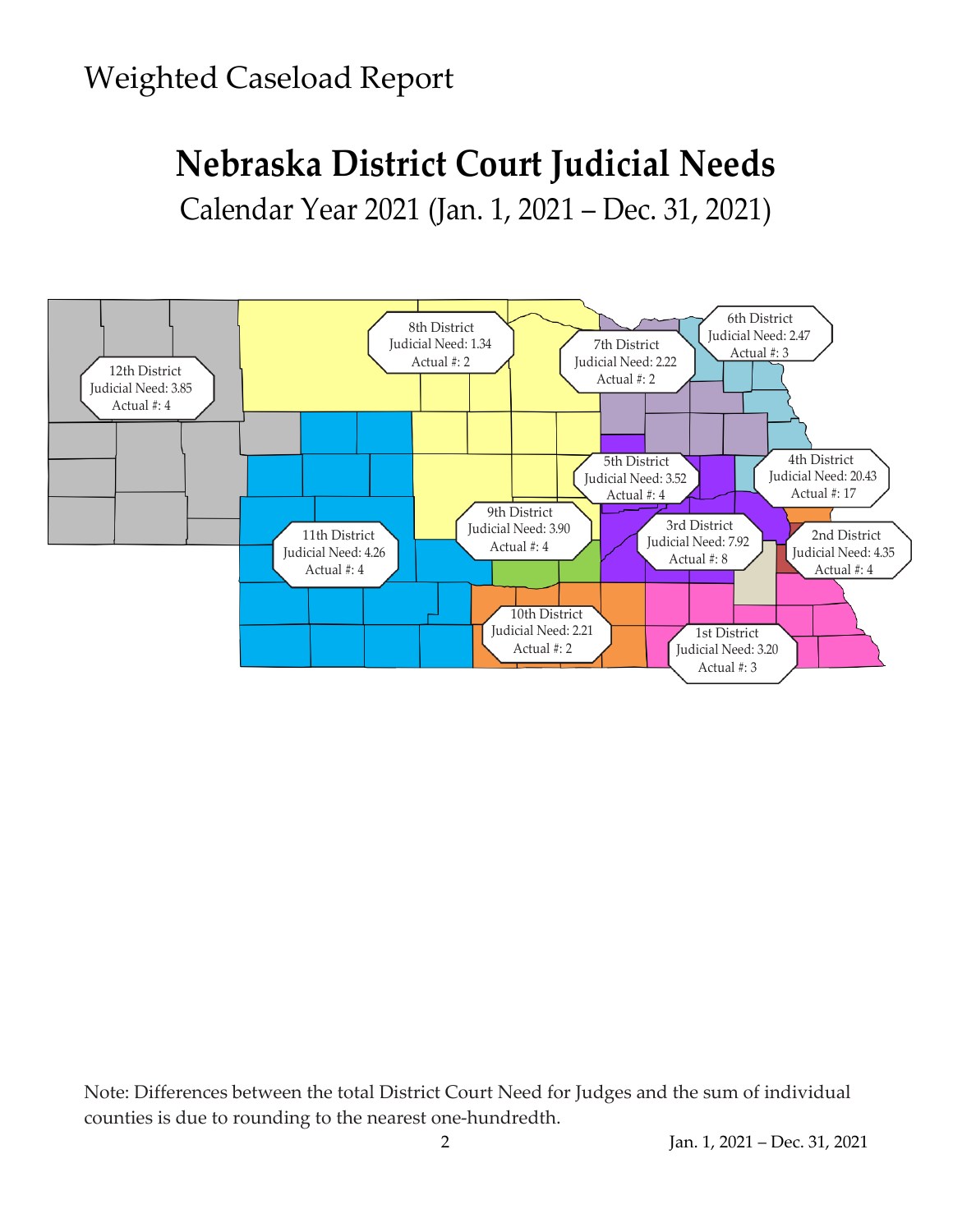# **Nebraska District Court Judicial Needs**

Calendar Year 2021 (Jan. 1, 2021 – Dec. 31, 2021)



Note: Differences between the total District Court Need for Judges and the sum of individual counties is due to rounding to the nearest one-hundredth.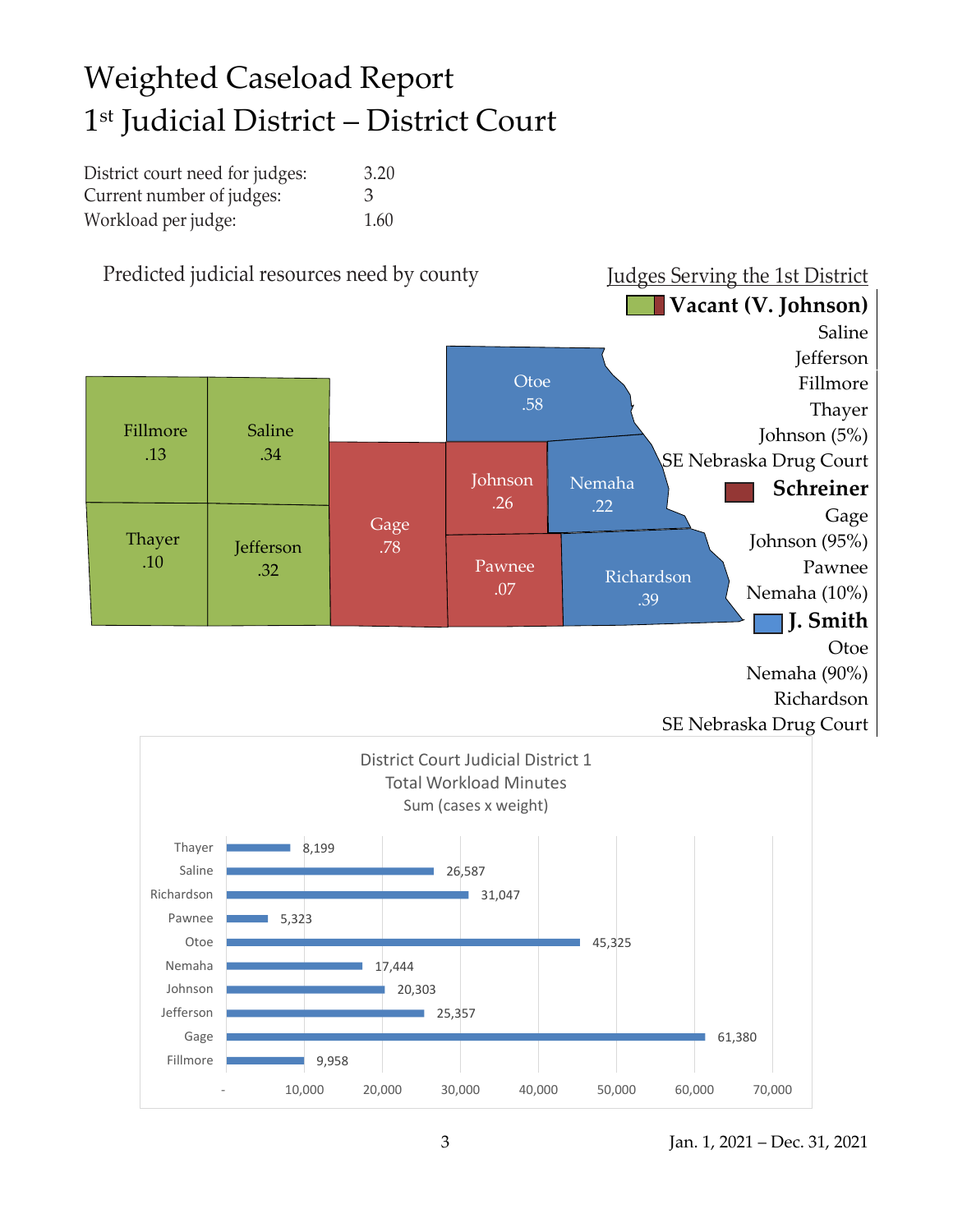## Weighted Caseload Report 1 st Judicial District – District Court

| District court need for judges: | 3.20 |
|---------------------------------|------|
| Current number of judges:       | 3    |
| Workload per judge:             | 1.60 |

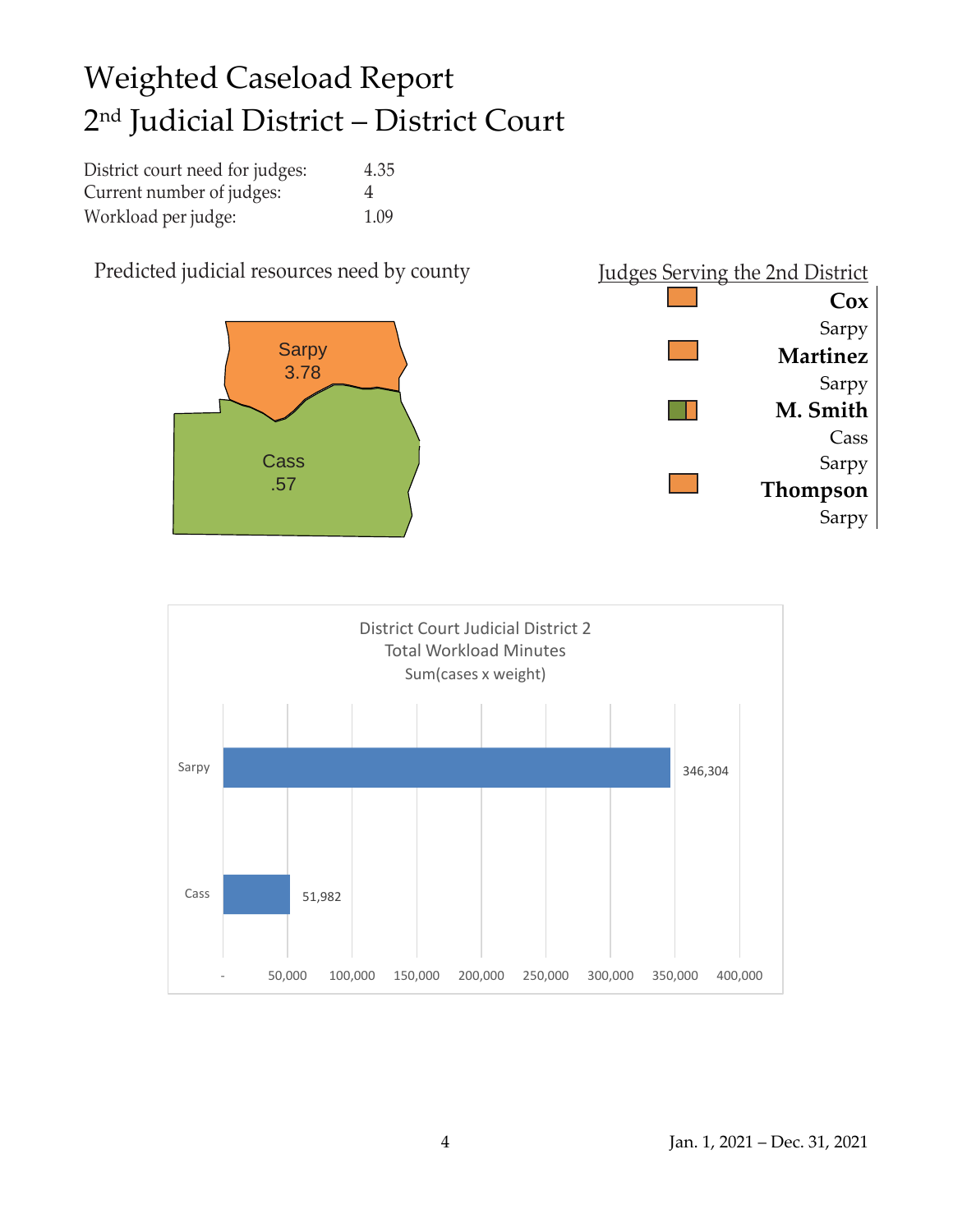### Weighted Caseload Report 2 nd Judicial District – District Court

| District court need for judges: | 4.35 |
|---------------------------------|------|
| Current number of judges:       | 4    |
| Workload per judge:             | 1.09 |



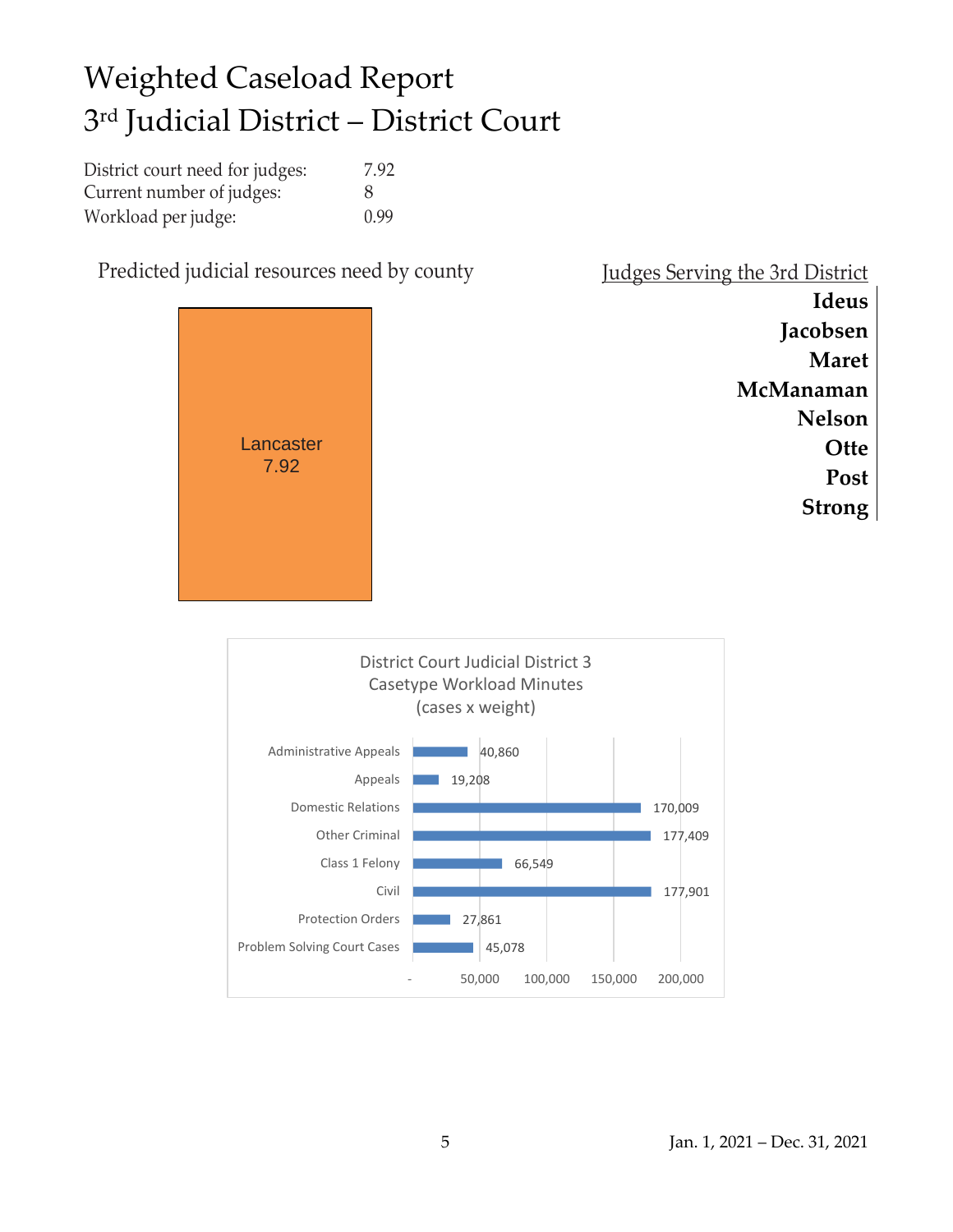### Weighted Caseload Report 3 rd Judicial District – District Court

| District court need for judges: | 7.92         |
|---------------------------------|--------------|
| Current number of judges:       | $\mathsf{x}$ |
| Workload per judge:             | 0.99         |

Predicted judicial resources need by county



|  |  | Judges Serving the 3rd District |
|--|--|---------------------------------|
|  |  |                                 |
|  |  |                                 |

**Ideus Jacobsen Maret McManaman Nelson Otte Post Strong**

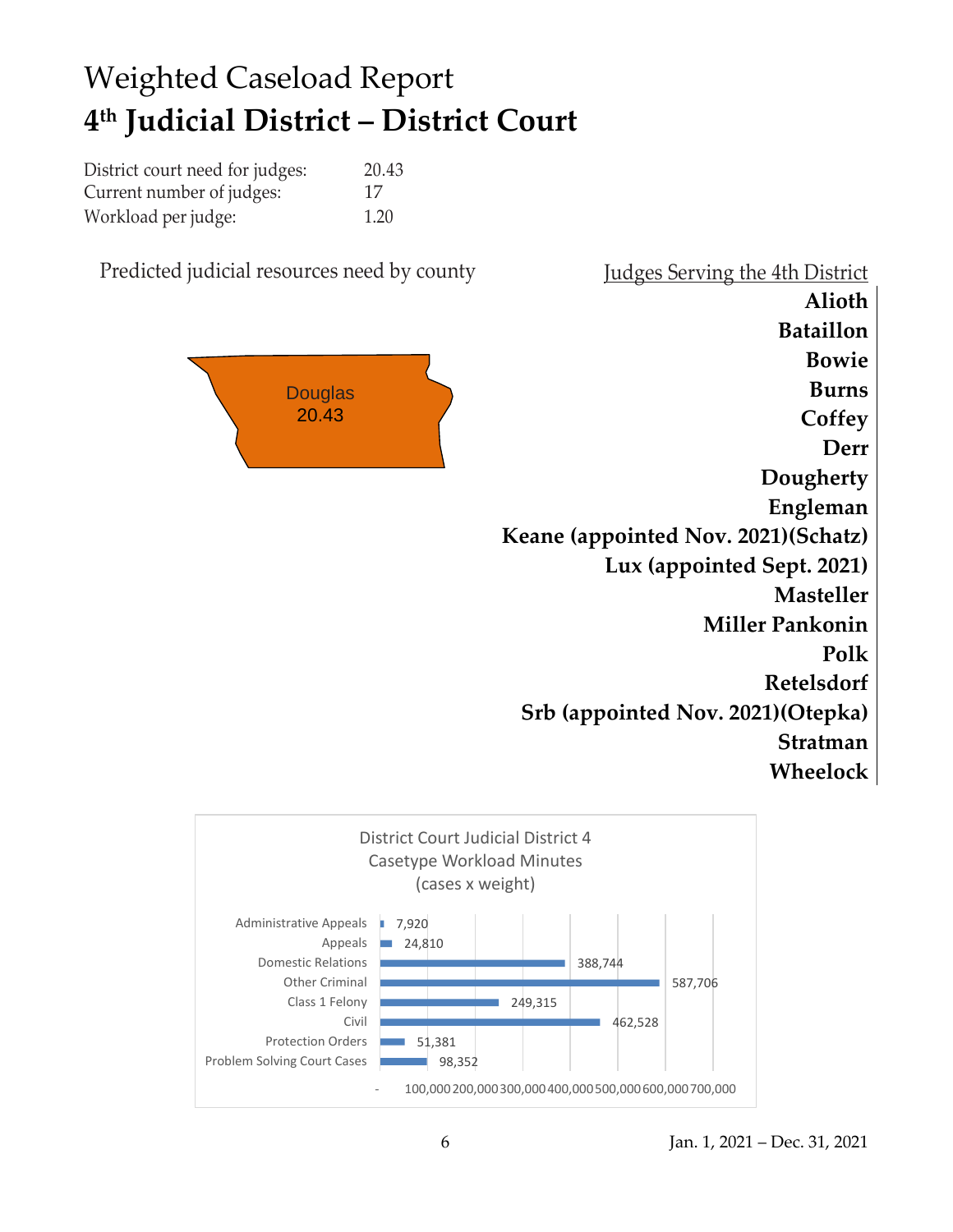### Weighted Caseload Report **4 th Judicial District – District Court**

| District court need for judges: | 20.43 |
|---------------------------------|-------|
| Current number of judges:       | 17    |
| Workload per judge:             | 1.20  |

Predicted judicial resources need by county Judges Serving the 4th District



**Alioth Bataillon Bowie Burns Coffey Derr Dougherty Engleman Keane (appointed Nov. 2021)(Schatz) Lux (appointed Sept. 2021) Masteller Miller Pankonin Polk Retelsdorf Srb (appointed Nov. 2021)(Otepka) Stratman Wheelock**

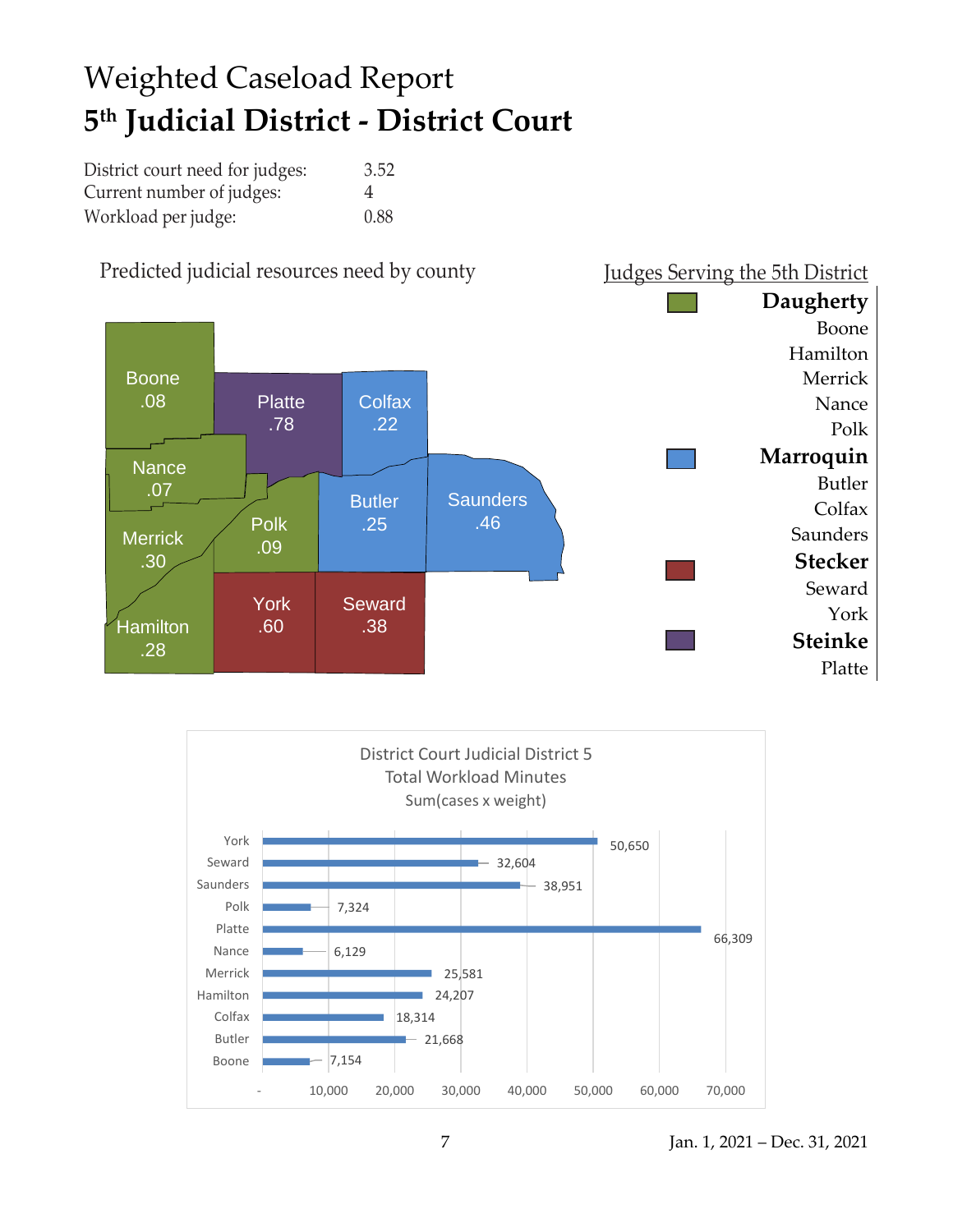## Weighted Caseload Report **5 th Judicial District - District Court**

| District court need for judges: | 3.52 |
|---------------------------------|------|
| Current number of judges:       | 4    |
| Workload per judge:             | 0.88 |



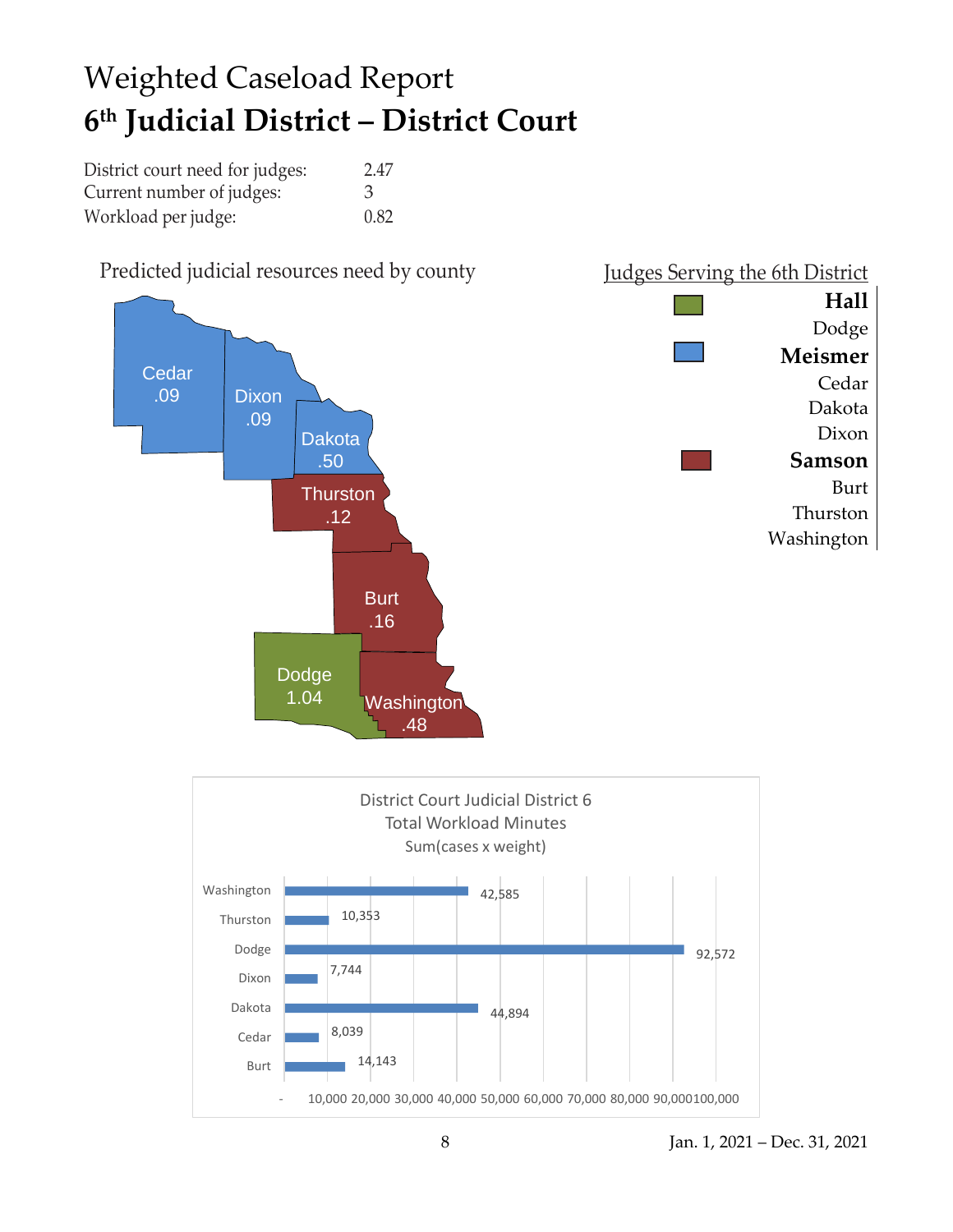## Weighted Caseload Report **6 th Judicial District – District Court**

| District court need for judges: | 2.47 |
|---------------------------------|------|
| Current number of judges:       | 3    |
| Workload per judge:             | 0.82 |

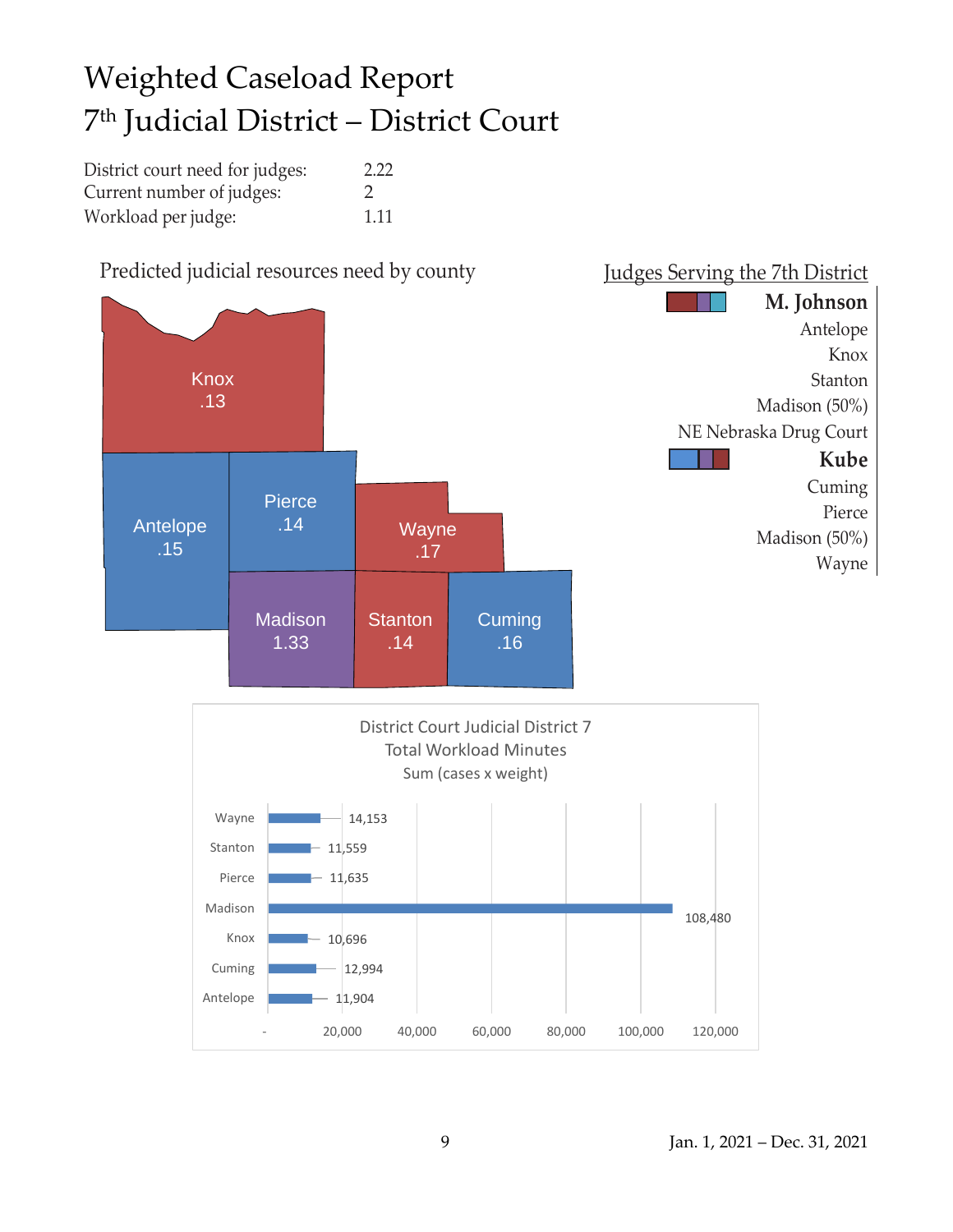## Weighted Caseload Report 7 th Judicial District – District Court

| District court need for judges: | 2.22          |
|---------------------------------|---------------|
| Current number of judges:       | $\mathcal{D}$ |
| Workload per judge:             | 1.11          |

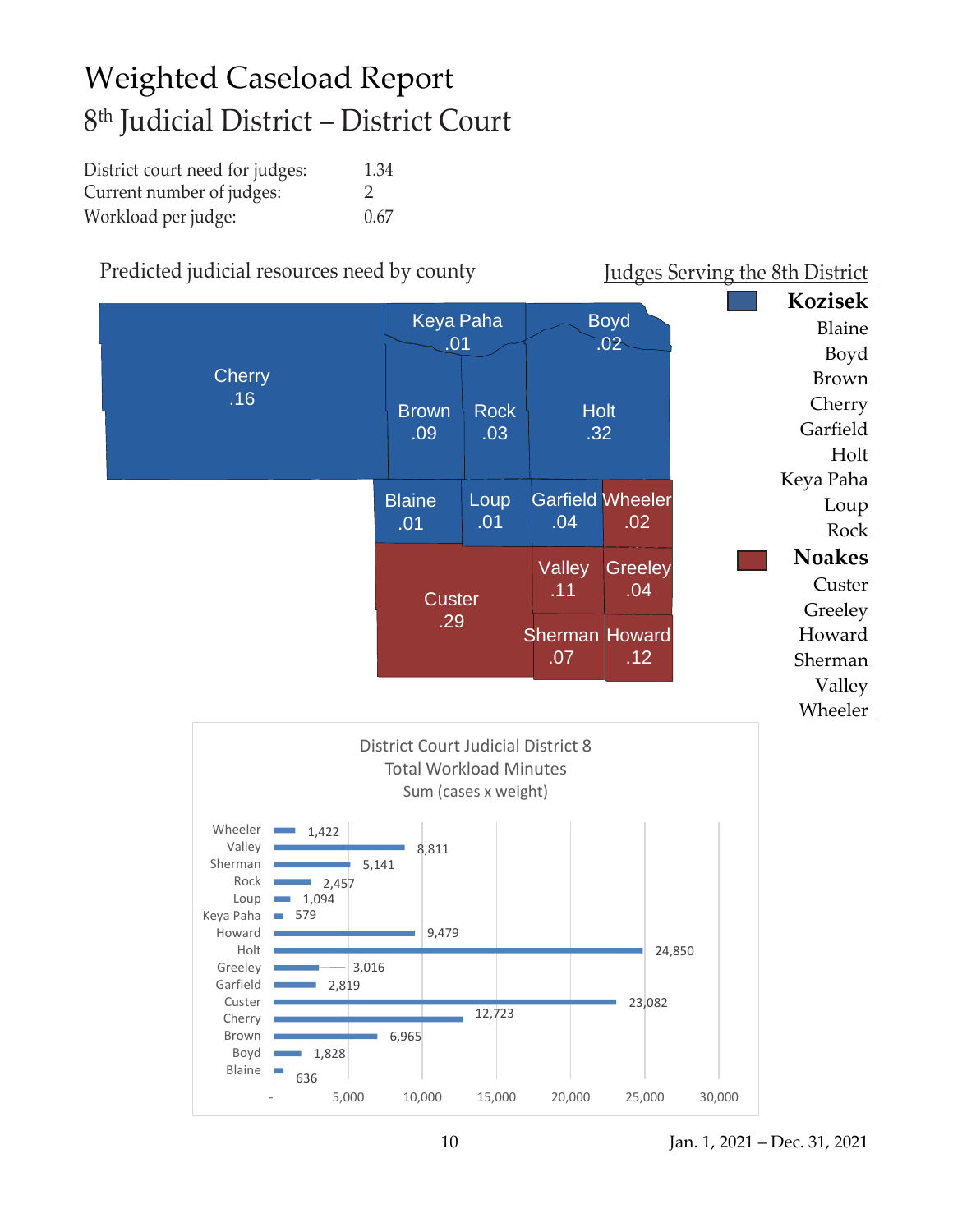## Weighted Caseload Report 8 th Judicial District – District Court

| District court need for judges: | 1.34          |
|---------------------------------|---------------|
| Current number of judges:       | $\mathcal{L}$ |
| Workload per judge:             | 0.67          |

### Predicted judicial resources need by county Judges Serving the 8th District

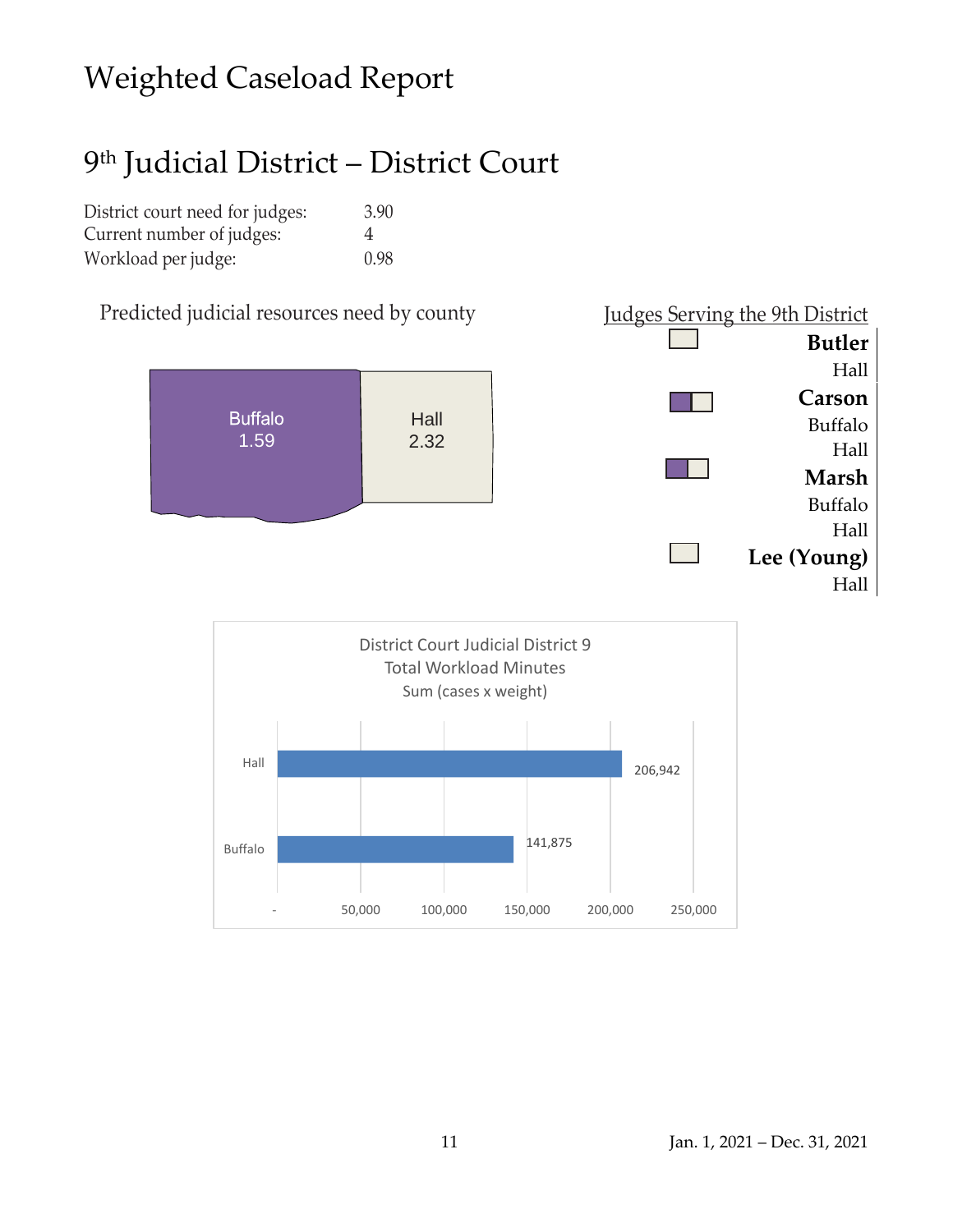### Weighted Caseload Report

### 9 th Judicial District – District Court

| District court need for judges: | 3.90 |
|---------------------------------|------|
| Current number of judges:       | 4    |
| Workload per judge:             | 0.98 |

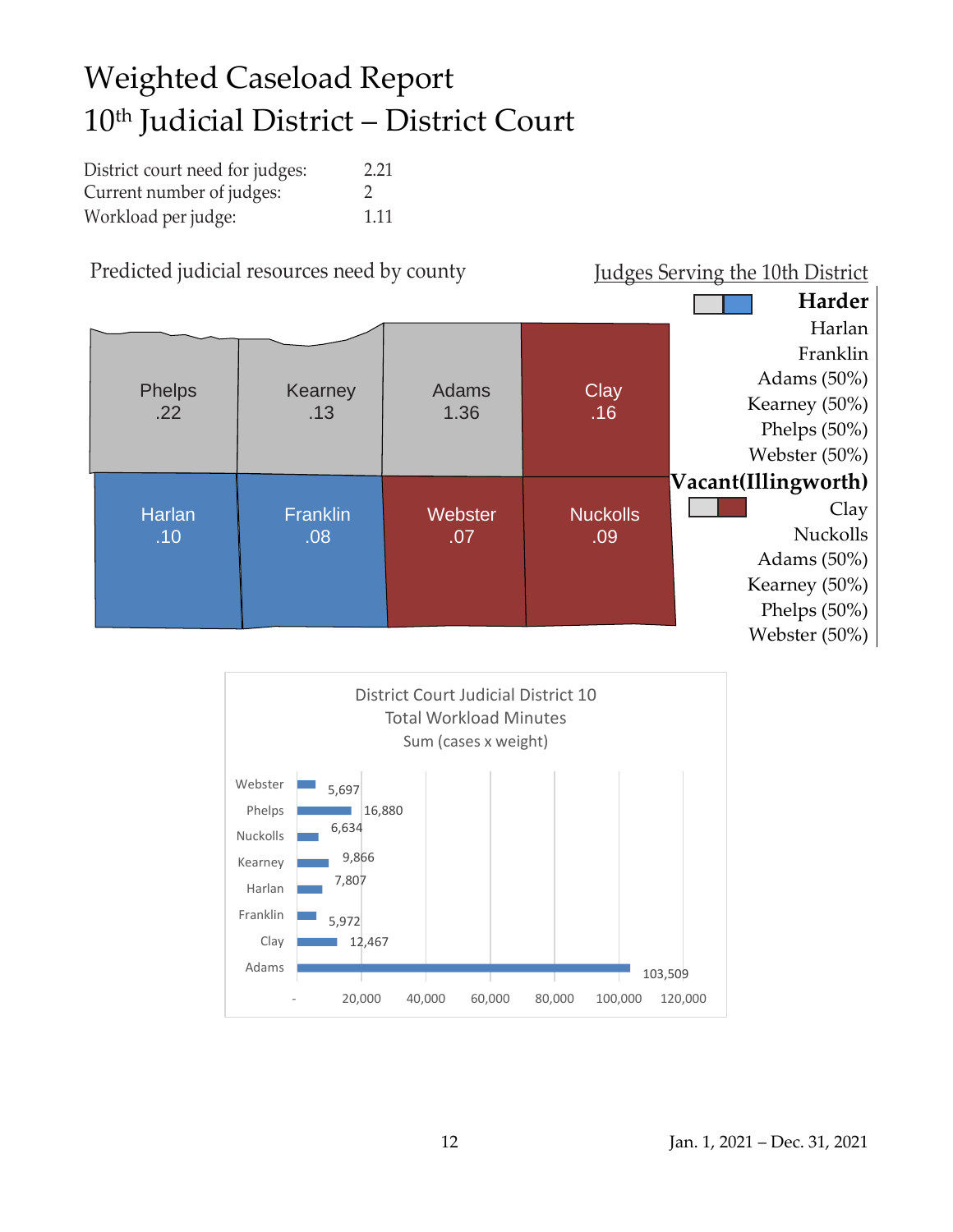## Weighted Caseload Report 10th Judicial District – District Court

| District court need for judges: | 2.21 |
|---------------------------------|------|
| Current number of judges:       |      |
| Workload per judge:             | 1.11 |



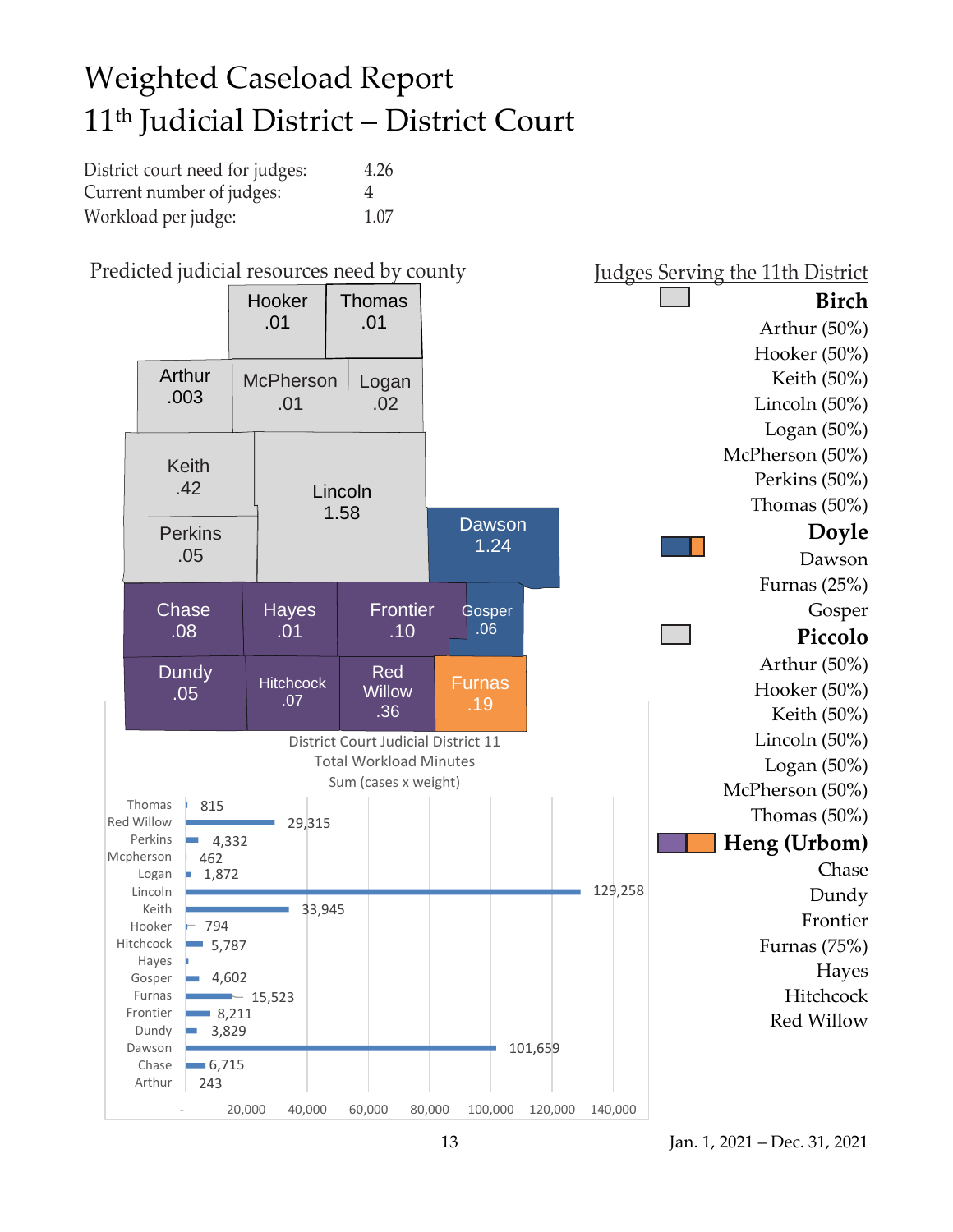## Weighted Caseload Report 11th Judicial District – District Court

| District court need for judges: | 4.26 |
|---------------------------------|------|
| Current number of judges:       | 4    |
| Workload per judge:             | 1.07 |

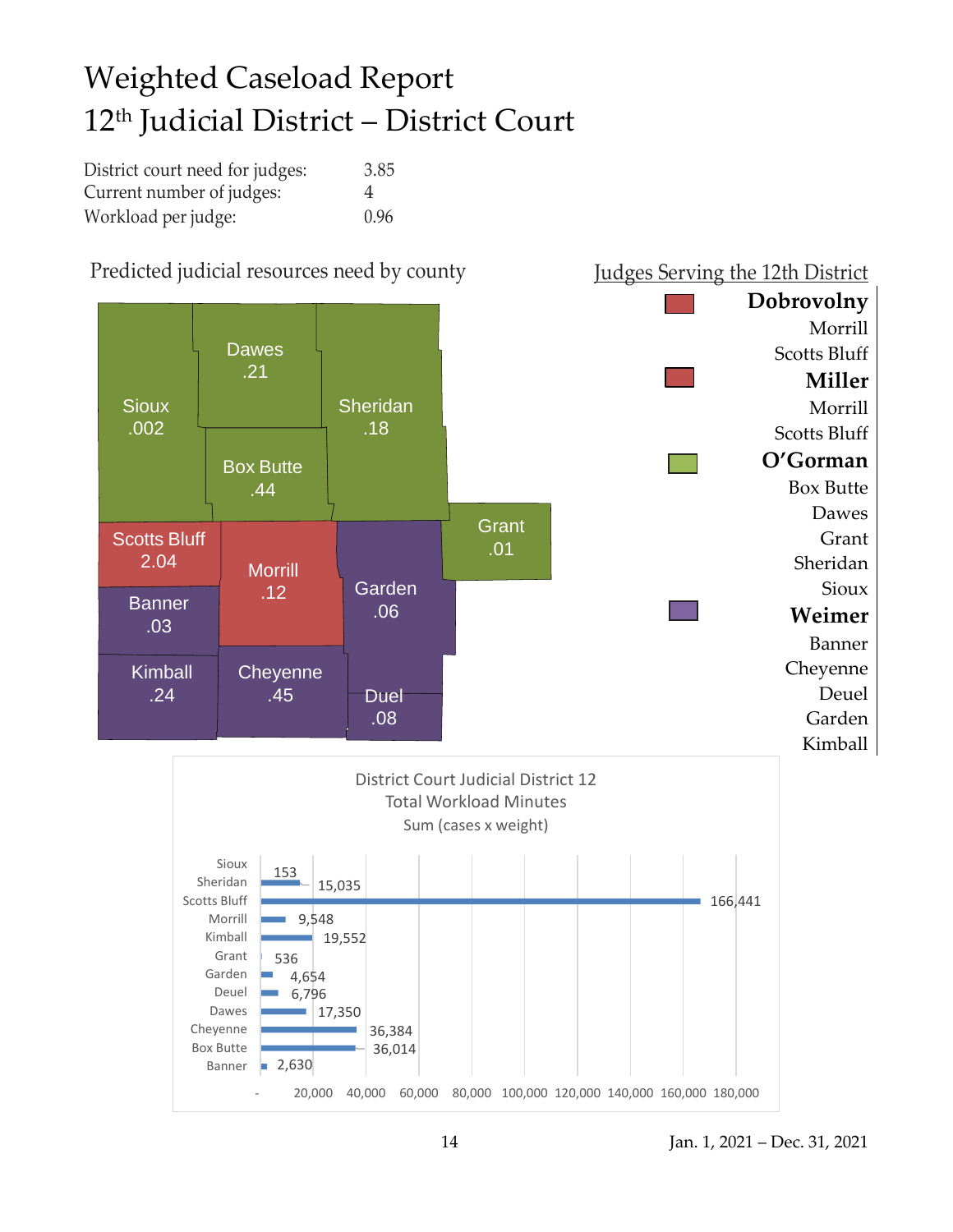## Weighted Caseload Report 12th Judicial District – District Court

| District court need for judges: | 3.85           |
|---------------------------------|----------------|
| Current number of judges:       | $\overline{4}$ |
| Workload per judge:             | 0.96           |